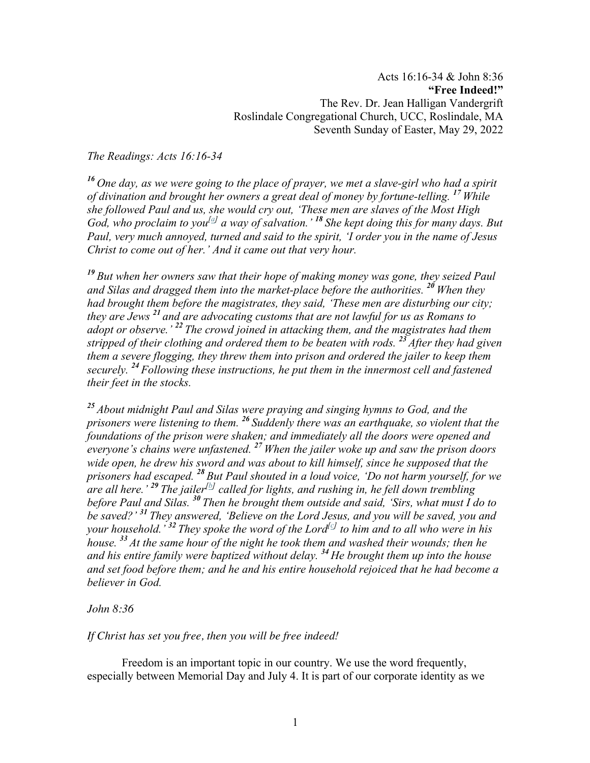Acts 16:16-34 & John 8:36 **"Free Indeed!"** The Rev. Dr. Jean Halligan Vandergrift Roslindale Congregational Church, UCC, Roslindale, MA Seventh Sunday of Easter, May 29, 2022

*The Readings: Acts 16:16-34*

*<sup>16</sup> One day, as we were going to the place of prayer, we met a slave-girl who had a spirit of divination and brought her owners a great deal of money by fortune-telling. <sup>17</sup> While she followed Paul and us, she would cry out, 'These men are slaves of the Most High God, who proclaim to you[a] a way of salvation.' <sup>18</sup> She kept doing this for many days. But Paul, very much annoyed, turned and said to the spirit, 'I order you in the name of Jesus Christ to come out of her.' And it came out that very hour.*

*<sup>19</sup> But when her owners saw that their hope of making money was gone, they seized Paul and Silas and dragged them into the market-place before the authorities. <sup>20</sup> When they had brought them before the magistrates, they said, 'These men are disturbing our city; they are Jews <sup>21</sup> and are advocating customs that are not lawful for us as Romans to adopt or observe.' <sup>22</sup> The crowd joined in attacking them, and the magistrates had them stripped of their clothing and ordered them to be beaten with rods. <sup>23</sup> After they had given them a severe flogging, they threw them into prison and ordered the jailer to keep them securely. <sup>24</sup> Following these instructions, he put them in the innermost cell and fastened their feet in the stocks.*

*<sup>25</sup> About midnight Paul and Silas were praying and singing hymns to God, and the prisoners were listening to them. <sup>26</sup> Suddenly there was an earthquake, so violent that the foundations of the prison were shaken; and immediately all the doors were opened and everyone's chains were unfastened. <sup>27</sup> When the jailer woke up and saw the prison doors wide open, he drew his sword and was about to kill himself, since he supposed that the prisoners had escaped. <sup>28</sup> But Paul shouted in a loud voice, 'Do not harm yourself, for we are all here.' <sup>29</sup> The jailer [b] called for lights, and rushing in, he fell down trembling before Paul and Silas. <sup>30</sup> Then he brought them outside and said, 'Sirs, what must I do to be saved?' <sup>31</sup> They answered, 'Believe on the Lord Jesus, and you will be saved, you and your household.*<sup>*'*32</sup> *They spoke the word of the Lord*<sup>[c]</sup> *to him and to all who were in his house. <sup>33</sup> At the same hour of the night he took them and washed their wounds; then he and his entire family were baptized without delay. <sup>34</sup> He brought them up into the house and set food before them; and he and his entire household rejoiced that he had become a believer in God.*

*John 8:36*

*If Christ has set you free, then you will be free indeed!*

Freedom is an important topic in our country. We use the word frequently, especially between Memorial Day and July 4. It is part of our corporate identity as we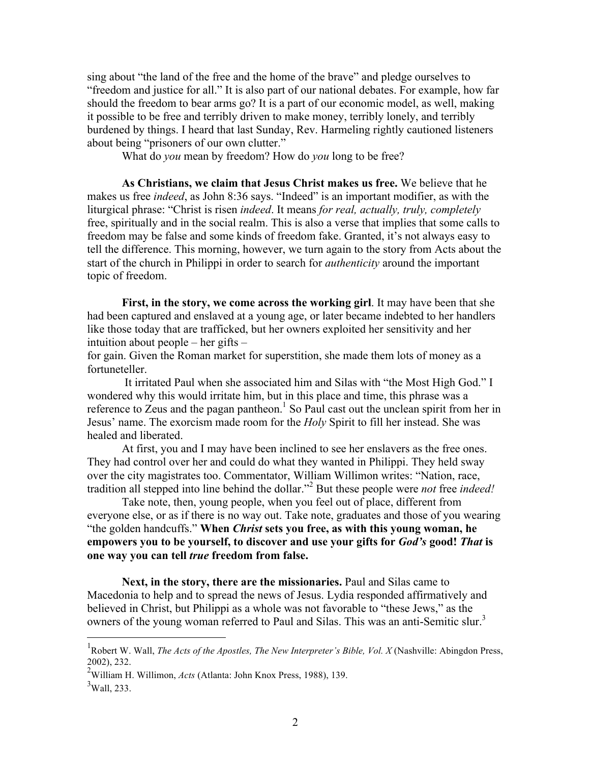sing about "the land of the free and the home of the brave" and pledge ourselves to "freedom and justice for all." It is also part of our national debates. For example, how far should the freedom to bear arms go? It is a part of our economic model, as well, making it possible to be free and terribly driven to make money, terribly lonely, and terribly burdened by things. I heard that last Sunday, Rev. Harmeling rightly cautioned listeners about being "prisoners of our own clutter."

What do *you* mean by freedom? How do *you* long to be free?

**As Christians, we claim that Jesus Christ makes us free.** We believe that he makes us free *indeed*, as John 8:36 says. "Indeed" is an important modifier, as with the liturgical phrase: "Christ is risen *indeed*. It means *for real, actually, truly, completely* free, spiritually and in the social realm. This is also a verse that implies that some calls to freedom may be false and some kinds of freedom fake. Granted, it's not always easy to tell the difference. This morning, however, we turn again to the story from Acts about the start of the church in Philippi in order to search for *authenticity* around the important topic of freedom.

**First, in the story, we come across the working girl**. It may have been that she had been captured and enslaved at a young age, or later became indebted to her handlers like those today that are trafficked, but her owners exploited her sensitivity and her intuition about people – her gifts –

for gain. Given the Roman market for superstition, she made them lots of money as a fortuneteller.

It irritated Paul when she associated him and Silas with "the Most High God." I wondered why this would irritate him, but in this place and time, this phrase was a reference to Zeus and the pagan pantheon.<sup>1</sup> So Paul cast out the unclean spirit from her in Jesus' name. The exorcism made room for the *Holy* Spirit to fill her instead. She was healed and liberated.

At first, you and I may have been inclined to see her enslavers as the free ones. They had control over her and could do what they wanted in Philippi. They held sway over the city magistrates too. Commentator, William Willimon writes: "Nation, race, tradition all stepped into line behind the dollar."<sup>2</sup> But these people were *not* free *indeed!*

Take note, then, young people, when you feel out of place, different from everyone else, or as if there is no way out. Take note, graduates and those of you wearing "the golden handcuffs." **When** *Christ* **sets you free, as with this young woman, he empowers you to be yourself, to discover and use your gifts for** *God's* **good!** *That* **is one way you can tell** *true* **freedom from false.** 

**Next, in the story, there are the missionaries.** Paul and Silas came to Macedonia to help and to spread the news of Jesus. Lydia responded affirmatively and believed in Christ, but Philippi as a whole was not favorable to "these Jews," as the owners of the young woman referred to Paul and Silas. This was an anti-Semitic slur.<sup>3</sup>

<sup>&</sup>lt;sup>1</sup><br><sup>1</sup> Robert W. Wall, *The Acts of the Apostles, The New Interpreter's Bible, Vol. <i>X* (Nashville: Abingdon Press, 2002), 232.

<sup>2</sup> William H. Willimon, *Acts* (Atlanta: John Knox Press, 1988), 139.

 $3$  Wall, 233.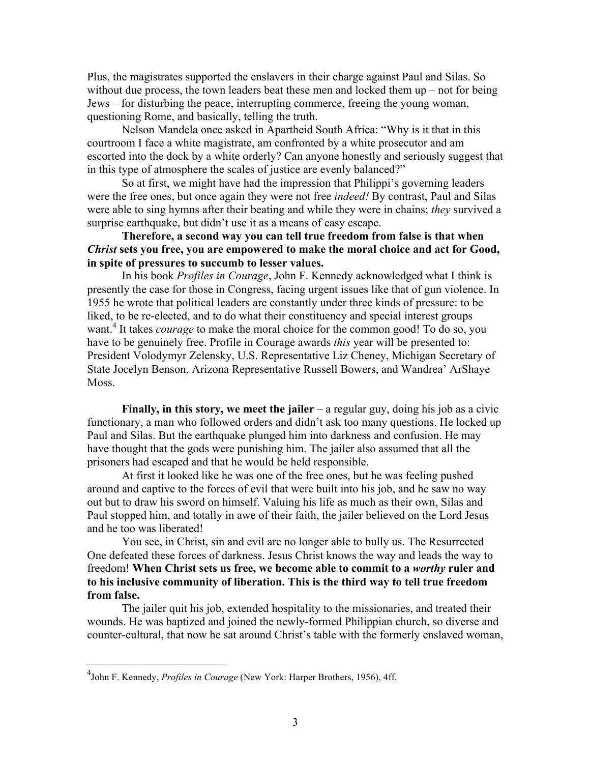Plus, the magistrates supported the enslavers in their charge against Paul and Silas. So without due process, the town leaders beat these men and locked them up – not for being Jews – for disturbing the peace, interrupting commerce, freeing the young woman, questioning Rome, and basically, telling the truth.

Nelson Mandela once asked in Apartheid South Africa: "Why is it that in this courtroom I face a white magistrate, am confronted by a white prosecutor and am escorted into the dock by a white orderly? Can anyone honestly and seriously suggest that in this type of atmosphere the scales of justice are evenly balanced?"

So at first, we might have had the impression that Philippi's governing leaders were the free ones, but once again they were not free *indeed!* By contrast, Paul and Silas were able to sing hymns after their beating and while they were in chains; *they* survived a surprise earthquake, but didn't use it as a means of easy escape.

## **Therefore, a second way you can tell true freedom from false is that when**  *Christ* **sets you free, you are empowered to make the moral choice and act for Good, in spite of pressures to succumb to lesser values.**

In his book *Profiles in Courage*, John F. Kennedy acknowledged what I think is presently the case for those in Congress, facing urgent issues like that of gun violence. In 1955 he wrote that political leaders are constantly under three kinds of pressure: to be liked, to be re-elected, and to do what their constituency and special interest groups want.<sup>4</sup> It takes *courage* to make the moral choice for the common good! To do so, you have to be genuinely free. Profile in Courage awards *this* year will be presented to: President Volodymyr Zelensky, U.S. Representative Liz Cheney, Michigan Secretary of State Jocelyn Benson, Arizona Representative Russell Bowers, and Wandrea' ArShaye Moss.

**Finally, in this story, we meet the jailer** – a regular guy, doing his job as a civic functionary, a man who followed orders and didn't ask too many questions. He locked up Paul and Silas. But the earthquake plunged him into darkness and confusion. He may have thought that the gods were punishing him. The jailer also assumed that all the prisoners had escaped and that he would be held responsible.

At first it looked like he was one of the free ones, but he was feeling pushed around and captive to the forces of evil that were built into his job, and he saw no way out but to draw his sword on himself. Valuing his life as much as their own, Silas and Paul stopped him, and totally in awe of their faith, the jailer believed on the Lord Jesus and he too was liberated!

You see, in Christ, sin and evil are no longer able to bully us. The Resurrected One defeated these forces of darkness. Jesus Christ knows the way and leads the way to freedom! **When Christ sets us free, we become able to commit to a** *worthy* **ruler and to his inclusive community of liberation. This is the third way to tell true freedom from false.**

The jailer quit his job, extended hospitality to the missionaries, and treated their wounds. He was baptized and joined the newly-formed Philippian church, so diverse and counter-cultural, that now he sat around Christ's table with the formerly enslaved woman,

 <sup>4</sup> John F. Kennedy, *Profiles in Courage* (New York: Harper Brothers, 1956), 4ff.